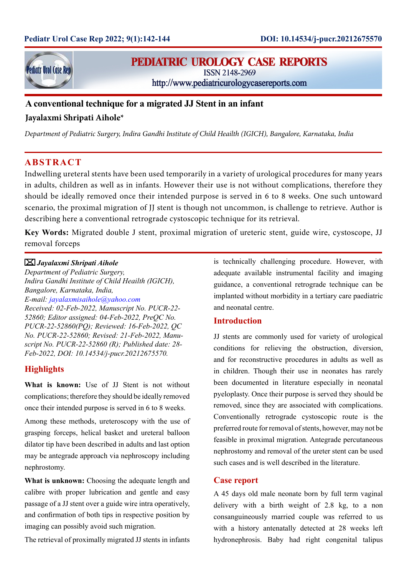

# **PEDIATRIC UROLOGY CASE REPORTS**

ISSN 2148-2969

http://www.pediatricurologycasereports.com

# **A conventional technique for a migrated JJ Stent in an infant Jayalaxmi Shripati Aihole\***

*Department of Pediatric Surgery, Indira Gandhi Institute of Child Heailth (IGICH), Bangalore, Karnataka, India*

# **ABSTRACT**

Indwelling ureteral stents have been used temporarily in a variety of urological procedures for many years in adults, children as well as in infants. However their use is not without complications, therefore they should be ideally removed once their intended purpose is served in 6 to 8 weeks. One such untoward scenario, the proximal migration of JJ stent is though not uncommon, is challenge to retrieve. Author is describing here a conventional retrograde cystoscopic technique for its retrieval.

**Key Words:** Migrated double J stent, proximal migration of ureteric stent, guide wire, cystoscope, JJ removal forceps

### *Jayalaxmi Shripati Aihole*

*Department of Pediatric Surgery, Indira Gandhi Institute of Child Heailth (IGICH), Bangalore, Karnataka, India, E-mail: jayalaxmisaihole@yahoo.com Received: 02-Feb-2022, Manuscript No. PUCR-22- 52860; Editor assigned: 04-Feb-2022, PreQC No. PUCR-22-52860(PQ); Reviewed: 16-Feb-2022, QC No. PUCR-22-52860; Revised: 21-Feb-2022, Manuscript No. PUCR-22-52860 (R); Published date: 28- Feb-2022, DOI: 10.14534/j-pucr.20212675570.*

## **Highlights**

**What is known:** Use of JJ Stent is not without complications; therefore they should be ideally removed once their intended purpose is served in 6 to 8 weeks.

Among these methods, ureteroscopy with the use of grasping forceps, helical basket and ureteral balloon dilator tip have been described in adults and last option may be antegrade approach via nephroscopy including nephrostomy.

**What is unknown:** Choosing the adequate length and calibre with proper lubrication and gentle and easy passage of a JJ stent over a guide wire intra operatively, and confirmation of both tips in respective position by imaging can possibly avoid such migration.

The retrieval of proximally migrated JJ stents in infants

is technically challenging procedure. However, with adequate available instrumental facility and imaging guidance, a conventional retrograde technique can be implanted without morbidity in a tertiary care paediatric and neonatal centre.

### **Introduction**

JJ stents are commonly used for variety of urological conditions for relieving the obstruction, diversion, and for reconstructive procedures in adults as well as in children. Though their use in neonates has rarely been documented in literature especially in neonatal pyeloplasty. Once their purpose is served they should be removed, since they are associated with complications. Conventionally retrograde cystoscopic route is the preferred route for removal of stents, however, may not be feasible in proximal migration. Antegrade percutaneous nephrostomy and removal of the ureter stent can be used such cases and is well described in the literature.

### **Case report**

A 45 days old male neonate born by full term vaginal delivery with a birth weight of 2.8 kg, to a non consanguineously married couple was referred to us with a history antenatally detected at 28 weeks left hydronephrosis. Baby had right congenital talipus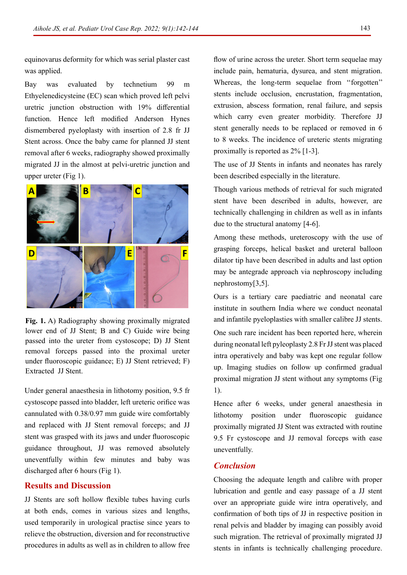equinovarus deformity for which was serial plaster cast was applied.

Bay was evaluated by technetium 99 m Ethyelenedicysteine (EC) scan which proved left pelvi uretric junction obstruction with 19% differential function. Hence left modified Anderson Hynes dismembered pyeloplasty with insertion of 2.8 fr JJ Stent across. Once the baby came for planned JJ stent removal after 6 weeks, radiography showed proximally migrated JJ in the almost at pelvi-uretric junction and upper ureter (Fig 1).



**Fig. 1.** A) Radiography showing proximally migrated lower end of JJ Stent; B and C) Guide wire being passed into the ureter from cystoscope; D) JJ Stent removal forceps passed into the proximal ureter under fluoroscopic guidance; E) JJ Stent retrieved; F) Extracted JJ Stent.

Under general anaesthesia in lithotomy position, 9.5 fr cystoscope passed into bladder, left ureteric orifice was cannulated with 0.38/0.97 mm guide wire comfortably and replaced with JJ Stent removal forceps; and JJ stent was grasped with its jaws and under fluoroscopic guidance throughout, JJ was removed absolutely uneventfully within few minutes and baby was discharged after 6 hours (Fig 1).

### **Results and Discussion**

JJ Stents are soft hollow flexible tubes having curls at both ends, comes in various sizes and lengths, used temporarily in urological practise since years to relieve the obstruction, diversion and for reconstructive procedures in adults as well as in children to allow free flow of urine across the ureter. Short term sequelae may include pain, hematuria, dysurea, and stent migration. Whereas, the long-term sequelae from "forgotten" stents include occlusion, encrustation, fragmentation, extrusion, abscess formation, renal failure, and sepsis which carry even greater morbidity. Therefore JJ stent generally needs to be replaced or removed in 6 to 8 weeks. The incidence of ureteric stents migrating proximally is reported as 2% [1-3].

The use of JJ Stents in infants and neonates has rarely been described especially in the literature.

Though various methods of retrieval for such migrated stent have been described in adults, however, are technically challenging in children as well as in infants due to the structural anatomy [4-6].

Among these methods, ureteroscopy with the use of grasping forceps, helical basket and ureteral balloon dilator tip have been described in adults and last option may be antegrade approach via nephroscopy including nephrostomy[3,5].

Ours is a tertiary care paediatric and neonatal care institute in southern India where we conduct neonatal and infantile pyeloplasties with smaller calibre JJ stents.

One such rare incident has been reported here, wherein during neonatal left pyleoplasty 2.8 Fr JJ stent was placed intra operatively and baby was kept one regular follow up. Imaging studies on follow up confirmed gradual proximal migration JJ stent without any symptoms (Fig 1).

Hence after 6 weeks, under general anaesthesia in lithotomy position under fluoroscopic guidance proximally migrated JJ Stent was extracted with routine 9.5 Fr cystoscope and JJ removal forceps with ease uneventfully.

### *Conclusion*

Choosing the adequate length and calibre with proper lubrication and gentle and easy passage of a JJ stent over an appropriate guide wire intra operatively, and confirmation of both tips of JJ in respective position in renal pelvis and bladder by imaging can possibly avoid such migration. The retrieval of proximally migrated JJ stents in infants is technically challenging procedure.